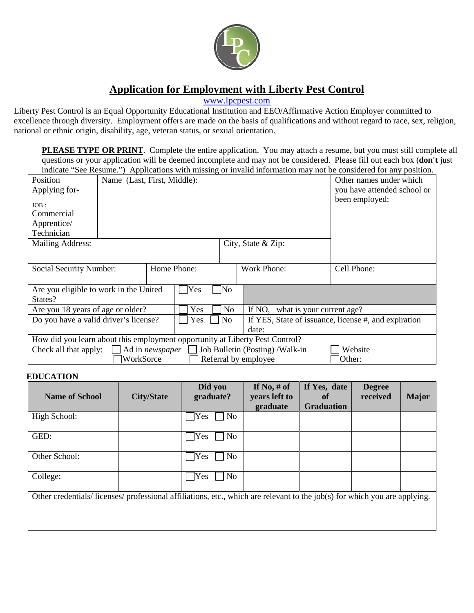

## **Application for Employment with Liberty Pest Control**

[www.lpcpest.com](http://www.lpcpest.com/)

Liberty Pest Control is an Equal Opportunity Educational Institution and EEO/Affirmative Action Employer committed to excellence through diversity. Employment offers are made on the basis of qualifications and without regard to race, sex, religion, national or ethnic origin, disability, age, veteran status, or sexual orientation.

**PLEASE TYPE OR PRINT**. Complete the entire application. You may attach a resume, but you must still complete all questions or your application will be deemed incomplete and may not be considered. Please fill out each box (**don't** just indicate "See Resume.") Applications with missing or invalid information may not be considered for any position.

| Position                                                                                              | Name (Last, First, Middle):<br>Other names under which |     |                |                                                      |                    |                             |  |
|-------------------------------------------------------------------------------------------------------|--------------------------------------------------------|-----|----------------|------------------------------------------------------|--------------------|-----------------------------|--|
| Applying for-                                                                                         |                                                        |     |                |                                                      |                    | you have attended school or |  |
| $JOB$ :                                                                                               |                                                        |     |                |                                                      |                    | been employed:              |  |
| Commercial                                                                                            |                                                        |     |                |                                                      |                    |                             |  |
| Apprentice/                                                                                           |                                                        |     |                |                                                      |                    |                             |  |
| Technician                                                                                            |                                                        |     |                |                                                      |                    |                             |  |
| <b>Mailing Address:</b>                                                                               |                                                        |     |                |                                                      | City, State & Zip: |                             |  |
|                                                                                                       |                                                        |     |                |                                                      |                    |                             |  |
|                                                                                                       |                                                        |     |                |                                                      |                    |                             |  |
| Social Security Number:                                                                               |                                                        |     | Home Phone:    |                                                      | <b>Work Phone:</b> | Cell Phone:                 |  |
|                                                                                                       |                                                        |     |                |                                                      |                    |                             |  |
| Are you eligible to work in the United                                                                |                                                        |     | Yes            | ]No                                                  |                    |                             |  |
| States?                                                                                               |                                                        |     |                |                                                      |                    |                             |  |
| Yes<br>Are you 18 years of age or older?                                                              |                                                        |     | N <sub>o</sub> | If NO, what is your current age?                     |                    |                             |  |
| Do you have a valid driver's license?                                                                 |                                                        | Yes | N <sub>0</sub> | If YES, State of issuance, license #, and expiration |                    |                             |  |
|                                                                                                       |                                                        |     |                |                                                      | date:              |                             |  |
| How did you learn about this employment opportunity at Liberty Pest Control?                          |                                                        |     |                |                                                      |                    |                             |  |
| Job Bulletin (Posting) / Walk-in<br>Website<br>Check all that apply:<br>$\Box$ Ad in <i>newspaper</i> |                                                        |     |                |                                                      |                    |                             |  |
| WorkSorce<br>Referral by employee<br> Other:                                                          |                                                        |     |                |                                                      |                    |                             |  |

## **EDUCATION**

| <b>Name of School</b>                                                                                                    | <b>City/State</b> | Did you<br>graduate?         | If No, $#$ of<br>years left to<br>graduate | If Yes, date<br>of<br><b>Graduation</b> | <b>Degree</b><br>received | <b>Major</b> |
|--------------------------------------------------------------------------------------------------------------------------|-------------------|------------------------------|--------------------------------------------|-----------------------------------------|---------------------------|--------------|
| High School:                                                                                                             |                   | No<br>Yes                    |                                            |                                         |                           |              |
| GED:                                                                                                                     |                   | N <sub>o</sub><br>$\gamma$   |                                            |                                         |                           |              |
| Other School:                                                                                                            |                   | N <sub>o</sub><br>Yes        |                                            |                                         |                           |              |
| College:                                                                                                                 |                   | N <sub>0</sub><br><b>Yes</b> |                                            |                                         |                           |              |
| Other credentials/licenses/professional affiliations, etc., which are relevant to the job(s) for which you are applying. |                   |                              |                                            |                                         |                           |              |
|                                                                                                                          |                   |                              |                                            |                                         |                           |              |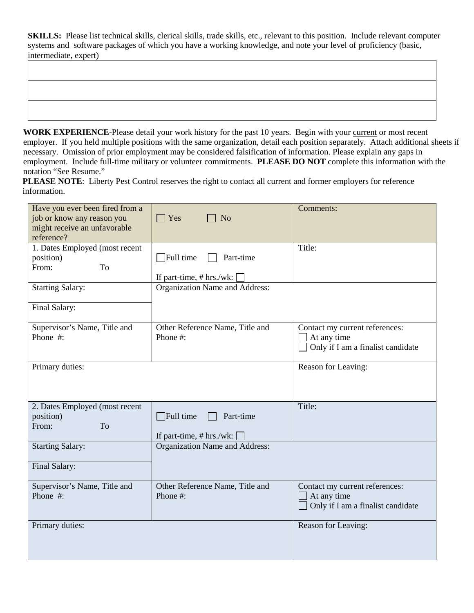**SKILLS:** Please list technical skills, clerical skills, trade skills, etc., relevant to this position. Include relevant computer systems and software packages of which you have a working knowledge, and note your level of proficiency (basic, intermediate, expert)

**WORK EXPERIENCE**-Please detail your work history for the past 10 years. Begin with your current or most recent employer. If you held multiple positions with the same organization, detail each position separately. Attach additional sheets if necessary. Omission of prior employment may be considered falsification of information. Please explain any gaps in employment. Include full-time military or volunteer commitments. **PLEASE DO NOT** complete this information with the notation "See Resume."

**PLEASE NOTE:** Liberty Pest Control reserves the right to contact all current and former employers for reference information.

| Have you ever been fired from a<br>job or know any reason you<br>might receive an unfavorable<br>reference? | $\Box$ Yes<br>N <sub>o</sub>                                   | Comments:                                                                          |
|-------------------------------------------------------------------------------------------------------------|----------------------------------------------------------------|------------------------------------------------------------------------------------|
| 1. Dates Employed (most recent<br>position)<br>To<br>From:                                                  | Full time<br>Part-time<br>If part-time, # hrs./wk:             | Title:                                                                             |
| <b>Starting Salary:</b><br>Final Salary:                                                                    | Organization Name and Address:                                 |                                                                                    |
| Supervisor's Name, Title and<br>Phone #:                                                                    | Other Reference Name, Title and<br>Phone #:                    | Contact my current references:<br>At any time<br>Only if I am a finalist candidate |
| Primary duties:                                                                                             |                                                                | Reason for Leaving:                                                                |
| 2. Dates Employed (most recent<br>position)<br>From:<br><b>To</b>                                           | $\exists$ Full time<br>Part-time<br>If part-time, $# hrs./wk:$ | Title:                                                                             |
| <b>Starting Salary:</b><br>Final Salary:                                                                    | Organization Name and Address:                                 |                                                                                    |
| Supervisor's Name, Title and<br>Phone #:                                                                    | Other Reference Name, Title and<br>Phone #:                    | Contact my current references:<br>At any time<br>Only if I am a finalist candidate |
| Primary duties:                                                                                             |                                                                | Reason for Leaving:                                                                |